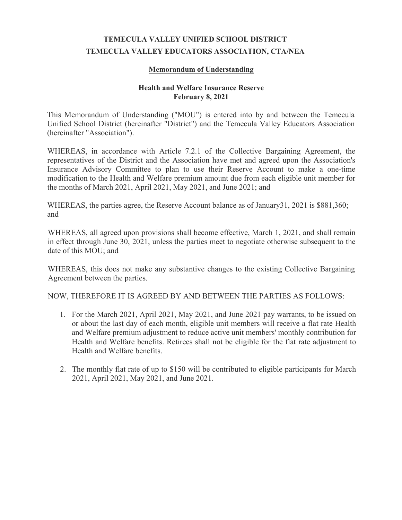## **TEMECULA VALLEY UNIFIED SCHOOL DISTRICT TEMECULA VALLEY EDUCATORS ASSOCIATION, CTA/NEA**

## **Memorandum of Understanding**

## **Health and Welfare Insurance Reserve February 8, 2021**

This Memorandum of Understanding ("MOU") is entered into by and between the Temecula Unified School District (hereinafter "District") and the Temecula Valley Educators Association (hereinafter "Association").

WHEREAS, in accordance with Article 7.2.1 of the Collective Bargaining Agreement, the representatives of the District and the Association have met and agreed upon the Association's Insurance Advisory Committee to plan to use their Reserve Account to make a one-time modification to the Health and Welfare premium amount due from each eligible unit member for the months of March 2021, April 2021, May 2021, and June 2021; and

WHEREAS, the parties agree, the Reserve Account balance as of January31, 2021 is \$881,360; and

WHEREAS, all agreed upon provisions shall become effective, March 1, 2021, and shall remain in effect through June 30, 2021, unless the parties meet to negotiate otherwise subsequent to the date of this MOU; and

WHEREAS, this does not make any substantive changes to the existing Collective Bargaining Agreement between the parties.

NOW, THEREFORE IT IS AGREED BY AND BETWEEN THE PARTIES AS FOLLOWS:

- 1. For the March 2021, April 2021, May 2021, and June 2021 pay warrants, to be issued on or about the last day of each month, eligible unit members will receive a flat rate Health and Welfare premium adjustment to reduce active unit members' monthly contribution for Health and Welfare benefits. Retirees shall not be eligible for the flat rate adjustment to Health and Welfare benefits.
- 2. The monthly flat rate of up to \$150 will be contributed to eligible participants for March 2021, April 2021, May 2021, and June 2021.